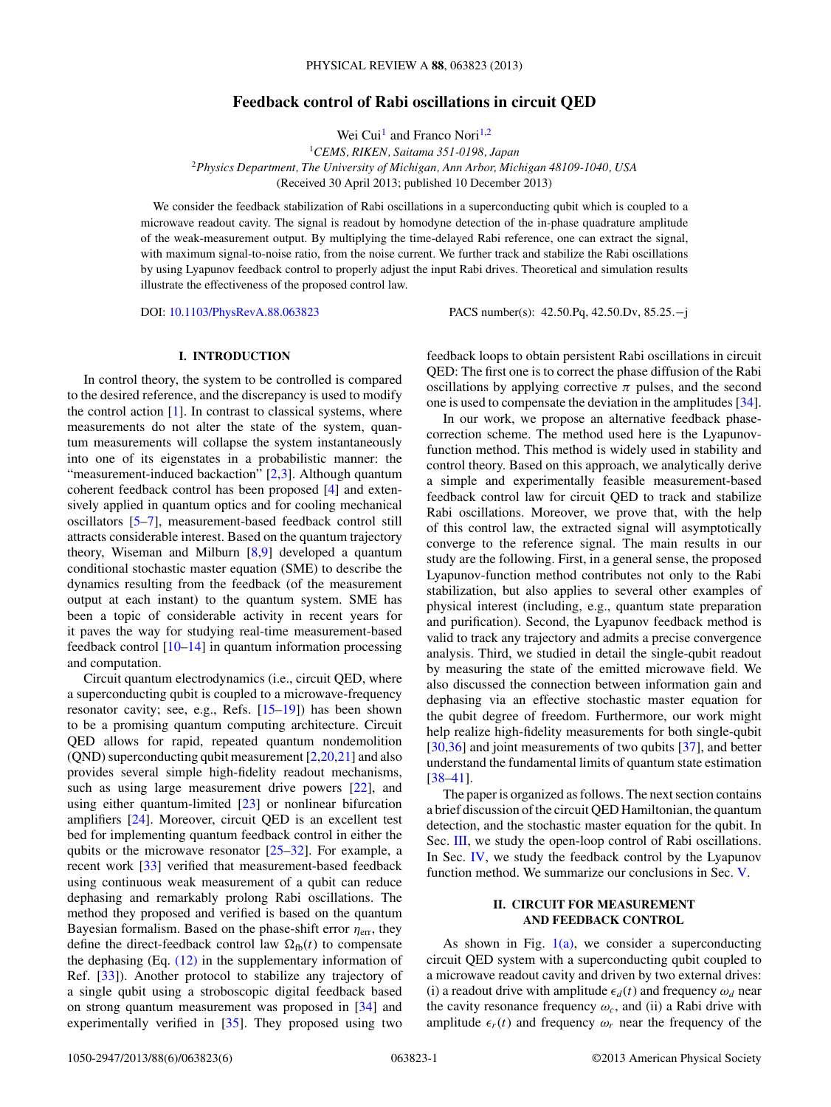# **Feedback control of Rabi oscillations in circuit QED**

Wei Cui<sup>1</sup> and Franco Nori<sup>1,2</sup>

<sup>1</sup>*CEMS, RIKEN, Saitama 351-0198, Japan* <sup>2</sup>*Physics Department, The University of Michigan, Ann Arbor, Michigan 48109-1040, USA* (Received 30 April 2013; published 10 December 2013)

We consider the feedback stabilization of Rabi oscillations in a superconducting qubit which is coupled to a microwave readout cavity. The signal is readout by homodyne detection of the in-phase quadrature amplitude of the weak-measurement output. By multiplying the time-delayed Rabi reference, one can extract the signal, with maximum signal-to-noise ratio, from the noise current. We further track and stabilize the Rabi oscillations by using Lyapunov feedback control to properly adjust the input Rabi drives. Theoretical and simulation results illustrate the effectiveness of the proposed control law.

DOI: [10.1103/PhysRevA.88.063823](http://dx.doi.org/10.1103/PhysRevA.88.063823) PACS number(s): 42*.*50*.*Pq, 42*.*50*.*Dv, 85*.*25*.*−j

### **I. INTRODUCTION**

In control theory, the system to be controlled is compared to the desired reference, and the discrepancy is used to modify the control action  $[1]$ . In contrast to classical systems, where measurements do not alter the state of the system, quantum measurements will collapse the system instantaneously into one of its eigenstates in a probabilistic manner: the "measurement-induced backaction"  $[2,3]$ . Although quantum coherent feedback control has been proposed [\[4\]](#page-4-0) and extensively applied in quantum optics and for cooling mechanical oscillators [\[5–7\]](#page-4-0), measurement-based feedback control still attracts considerable interest. Based on the quantum trajectory theory, Wiseman and Milburn [\[8,9\]](#page-4-0) developed a quantum conditional stochastic master equation (SME) to describe the dynamics resulting from the feedback (of the measurement output at each instant) to the quantum system. SME has been a topic of considerable activity in recent years for it paves the way for studying real-time measurement-based feedback control [\[10–14\]](#page-4-0) in quantum information processing and computation.

Circuit quantum electrodynamics (i.e., circuit QED, where a superconducting qubit is coupled to a microwave-frequency resonator cavity; see, e.g., Refs. [\[15–19\]](#page-4-0)) has been shown to be a promising quantum computing architecture. Circuit QED allows for rapid, repeated quantum nondemolition (QND) superconducting qubit measurement [\[2,](#page-4-0)[20,21\]](#page-5-0) and also provides several simple high-fidelity readout mechanisms, such as using large measurement drive powers [\[22\]](#page-5-0), and using either quantum-limited [\[23\]](#page-5-0) or nonlinear bifurcation amplifiers [\[24\]](#page-5-0). Moreover, circuit QED is an excellent test bed for implementing quantum feedback control in either the qubits or the microwave resonator  $[25-32]$ . For example, a recent work [\[33\]](#page-5-0) verified that measurement-based feedback using continuous weak measurement of a qubit can reduce dephasing and remarkably prolong Rabi oscillations. The method they proposed and verified is based on the quantum Bayesian formalism. Based on the phase-shift error *η*err, they define the direct-feedback control law  $\Omega_{\text{fb}}(t)$  to compensate the dephasing (Eq. [\(12\)](#page-1-0) in the supplementary information of Ref. [\[33\]](#page-5-0)). Another protocol to stabilize any trajectory of a single qubit using a stroboscopic digital feedback based on strong quantum measurement was proposed in [\[34\]](#page-5-0) and experimentally verified in [\[35\]](#page-5-0). They proposed using two feedback loops to obtain persistent Rabi oscillations in circuit QED: The first one is to correct the phase diffusion of the Rabi oscillations by applying corrective  $\pi$  pulses, and the second one is used to compensate the deviation in the amplitudes [\[34\]](#page-5-0).

In our work, we propose an alternative feedback phasecorrection scheme. The method used here is the Lyapunovfunction method. This method is widely used in stability and control theory. Based on this approach, we analytically derive a simple and experimentally feasible measurement-based feedback control law for circuit QED to track and stabilize Rabi oscillations. Moreover, we prove that, with the help of this control law, the extracted signal will asymptotically converge to the reference signal. The main results in our study are the following. First, in a general sense, the proposed Lyapunov-function method contributes not only to the Rabi stabilization, but also applies to several other examples of physical interest (including, e.g., quantum state preparation and purification). Second, the Lyapunov feedback method is valid to track any trajectory and admits a precise convergence analysis. Third, we studied in detail the single-qubit readout by measuring the state of the emitted microwave field. We also discussed the connection between information gain and dephasing via an effective stochastic master equation for the qubit degree of freedom. Furthermore, our work might help realize high-fidelity measurements for both single-qubit [\[30,36\]](#page-5-0) and joint measurements of two qubits [\[37\]](#page-5-0), and better understand the fundamental limits of quantum state estimation [\[38–41\]](#page-5-0).

The paper is organized as follows. The next section contains a brief discussion of the circuit QED Hamiltonian, the quantum detection, and the stochastic master equation for the qubit. In Sec. [III,](#page-2-0) we study the open-loop control of Rabi oscillations. In Sec. [IV,](#page-2-0) we study the feedback control by the Lyapunov function method. We summarize our conclusions in Sec. [V.](#page-3-0)

### **II. CIRCUIT FOR MEASUREMENT AND FEEDBACK CONTROL**

As shown in Fig.  $1(a)$ , we consider a superconducting circuit QED system with a superconducting qubit coupled to a microwave readout cavity and driven by two external drives: (i) a readout drive with amplitude  $\epsilon_d(t)$  and frequency  $\omega_d$  near the cavity resonance frequency  $\omega_c$ , and (ii) a Rabi drive with amplitude  $\epsilon_r(t)$  and frequency  $\omega_r$  near the frequency of the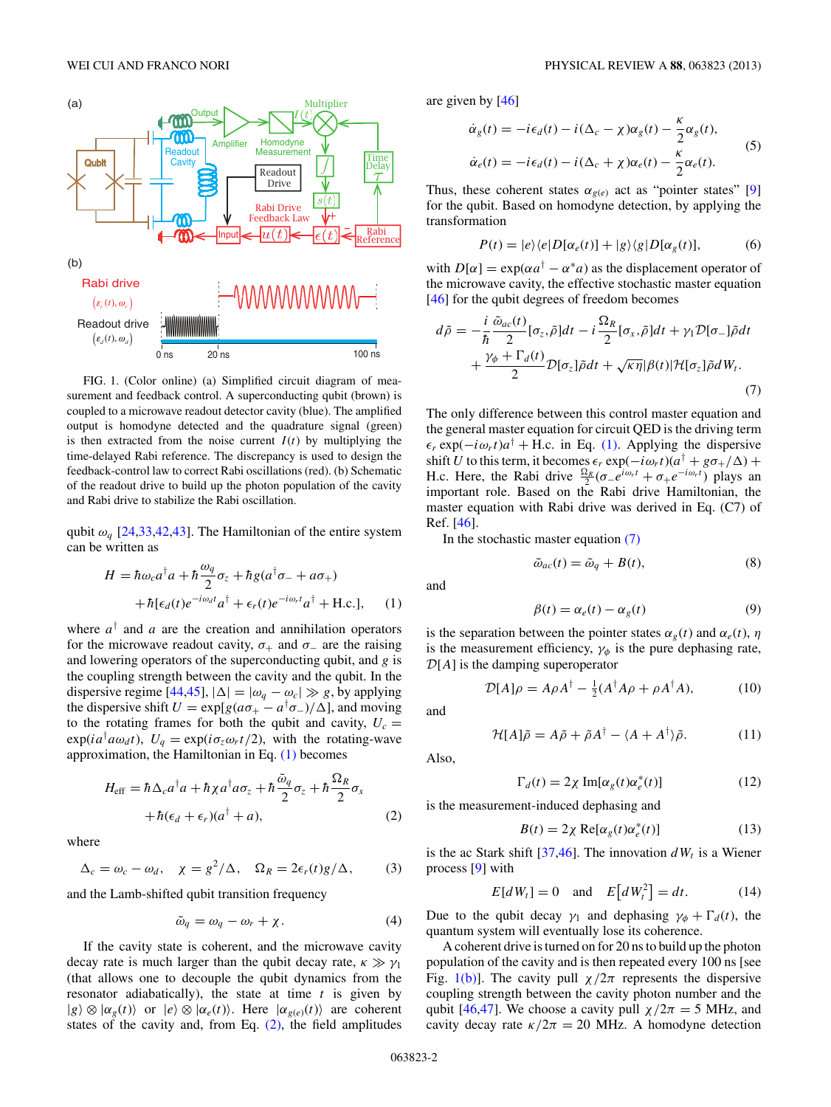<span id="page-1-0"></span>

FIG. 1. (Color online) (a) Simplified circuit diagram of measurement and feedback control. A superconducting qubit (brown) is coupled to a microwave readout detector cavity (blue). The amplified output is homodyne detected and the quadrature signal (green) is then extracted from the noise current  $I(t)$  by multiplying the time-delayed Rabi reference. The discrepancy is used to design the feedback-control law to correct Rabi oscillations (red). (b) Schematic of the readout drive to build up the photon population of the cavity and Rabi drive to stabilize the Rabi oscillation.

qubit *ωq* [\[24,33,42,43\]](#page-5-0). The Hamiltonian of the entire system can be written as

$$
H = \hbar \omega_c a^{\dagger} a + \hbar \frac{\omega_q}{2} \sigma_z + \hbar g (a^{\dagger} \sigma_- + a \sigma_+)
$$

$$
+ \hbar [\epsilon_d(t) e^{-i\omega_d t} a^{\dagger} + \epsilon_r(t) e^{-i\omega_r t} a^{\dagger} + \text{H.c.}], \quad (1)
$$

where  $a^{\dagger}$  and  $a$  are the creation and annihilation operators for the microwave readout cavity,  $\sigma_+$  and  $\sigma_-$  are the raising and lowering operators of the superconducting qubit, and *g* is the coupling strength between the cavity and the qubit. In the dispersive regime [\[44,45\]](#page-5-0),  $|\Delta| = |\omega_q - \omega_c| \gg g$ , by applying the dispersive shift  $U = \exp[g(a\sigma_+ - a^\dagger \sigma_-)/\Delta]$ , and moving to the rotating frames for both the qubit and cavity,  $U_c$  =  $\exp(ia^{\dagger}a\omega_d t)$ ,  $U_q = \exp(i\sigma_z\omega_r t/2)$ , with the rotating-wave approximation, the Hamiltonian in Eq. (1) becomes

$$
H_{\text{eff}} = \hbar \Delta_c a^{\dagger} a + \hbar \chi a^{\dagger} a \sigma_z + \hbar \frac{\tilde{\omega}_q}{2} \sigma_z + \hbar \frac{\Omega_R}{2} \sigma_x
$$
  
+  $\hbar (\epsilon_d + \epsilon_r) (a^{\dagger} + a),$  (2)

where

$$
\Delta_c = \omega_c - \omega_d, \quad \chi = g^2/\Delta, \quad \Omega_R = 2\epsilon_r(t)g/\Delta, \quad (3)
$$

and the Lamb-shifted qubit transition frequency

$$
\tilde{\omega}_q = \omega_q - \omega_r + \chi. \tag{4}
$$

If the cavity state is coherent, and the microwave cavity decay rate is much larger than the qubit decay rate,  $\kappa \gg \gamma_1$ (that allows one to decouple the qubit dynamics from the resonator adiabatically), the state at time *t* is given by  $|g\rangle \otimes |a_g(t)\rangle$  or  $|e\rangle \otimes |a_g(t)\rangle$ . Here  $|a_{g(e)}(t)\rangle$  are coherent states of the cavity and, from Eq.  $(2)$ , the field amplitudes

are given by [\[46\]](#page-5-0)

$$
\dot{\alpha}_g(t) = -i\epsilon_d(t) - i(\Delta_c - \chi)\alpha_g(t) - \frac{\kappa}{2}\alpha_g(t),
$$
  

$$
\dot{\alpha}_e(t) = -i\epsilon_d(t) - i(\Delta_c + \chi)\alpha_e(t) - \frac{\kappa}{2}\alpha_e(t).
$$
 (5)

Thus, these coherent states  $\alpha_{g(e)}$  act as "pointer states" [\[9\]](#page-4-0) for the qubit. Based on homodyne detection, by applying the transformation

$$
P(t) = |e\rangle\langle e|D[\alpha_e(t)] + |g\rangle\langle g|D[\alpha_g(t)],\tag{6}
$$

with  $D[\alpha] = \exp(\alpha a^{\dagger} - \alpha^* a)$  as the displacement operator of the microwave cavity, the effective stochastic master equation [\[46\]](#page-5-0) for the qubit degrees of freedom becomes

$$
d\tilde{\rho} = -\frac{i}{\hbar} \frac{\tilde{\omega}_{ac}(t)}{2} [\sigma_z, \tilde{\rho}] dt - i \frac{\Omega_R}{2} [\sigma_x, \tilde{\rho}] dt + \gamma_1 \mathcal{D}[\sigma_-] \tilde{\rho} dt + \frac{\gamma_{\phi} + \Gamma_d(t)}{2} \mathcal{D}[\sigma_z] \tilde{\rho} dt + \sqrt{\kappa \eta} |\beta(t)| \mathcal{H}[\sigma_z] \tilde{\rho} dW_t.
$$
\n(7)

The only difference between this control master equation and the general master equation for circuit QED is the driving term  $\epsilon_r$  exp( $-i\omega_r t$ ) $a^{\dagger}$  + H.c. in Eq. (1). Applying the dispersive shift *U* to this term, it becomes  $\epsilon_r$  exp( $-i\omega_r t$ )( $a^{\dagger} + g\sigma_{+}/\Delta$ ) + H.c. Here, the Rabi drive  $\frac{\Omega_R}{2} (\sigma_- e^{i\omega_r t} + \sigma_+ e^{-i\omega_r t})$  plays an important role. Based on the Rabi drive Hamiltonian, the master equation with Rabi drive was derived in Eq. (C7) of Ref. [\[46\]](#page-5-0).

In the stochastic master equation (7)

$$
\tilde{\omega}_{ac}(t) = \tilde{\omega}_q + B(t),\tag{8}
$$

and

$$
\beta(t) = \alpha_e(t) - \alpha_g(t) \tag{9}
$$

is the separation between the pointer states  $\alpha_g(t)$  and  $\alpha_g(t)$ , *η* is the measurement efficiency,  $\gamma_{\phi}$  is the pure dephasing rate,  $\mathcal{D}[A]$  is the damping superoperator

$$
\mathcal{D}[A]\rho = A\rho A^{\dagger} - \frac{1}{2}(A^{\dagger}A\rho + \rho A^{\dagger}A), \tag{10}
$$

and

Also,

$$
\mathcal{H}[A]\tilde{\rho} = A\tilde{\rho} + \tilde{\rho}A^{\dagger} - \langle A + A^{\dagger}\rangle\tilde{\rho}.
$$
 (11)

$$
\Gamma_d(t) = 2\chi \operatorname{Im}[\alpha_g(t)\alpha_e^*(t)] \tag{12}
$$

is the measurement-induced dephasing and

$$
B(t) = 2\chi \operatorname{Re}[\alpha_g(t)\alpha_e^*(t)] \tag{13}
$$

is the ac Stark shift  $[37,46]$ . The innovation  $dW_t$  is a Wiener process [\[9\]](#page-4-0) with

$$
E[dW_t] = 0 \quad \text{and} \quad E\big[dW_t^2\big] = dt. \tag{14}
$$

Due to the qubit decay  $\gamma_1$  and dephasing  $\gamma_\phi + \Gamma_d(t)$ , the quantum system will eventually lose its coherence.

A coherent drive is turned on for 20 ns to build up the photon population of the cavity and is then repeated every 100 ns [see Fig. 1(b)]. The cavity pull  $\chi/2\pi$  represents the dispersive coupling strength between the cavity photon number and the qubit [\[46,47\]](#page-5-0). We choose a cavity pull  $\chi/2\pi = 5$  MHz, and cavity decay rate  $\kappa/2\pi = 20$  MHz. A homodyne detection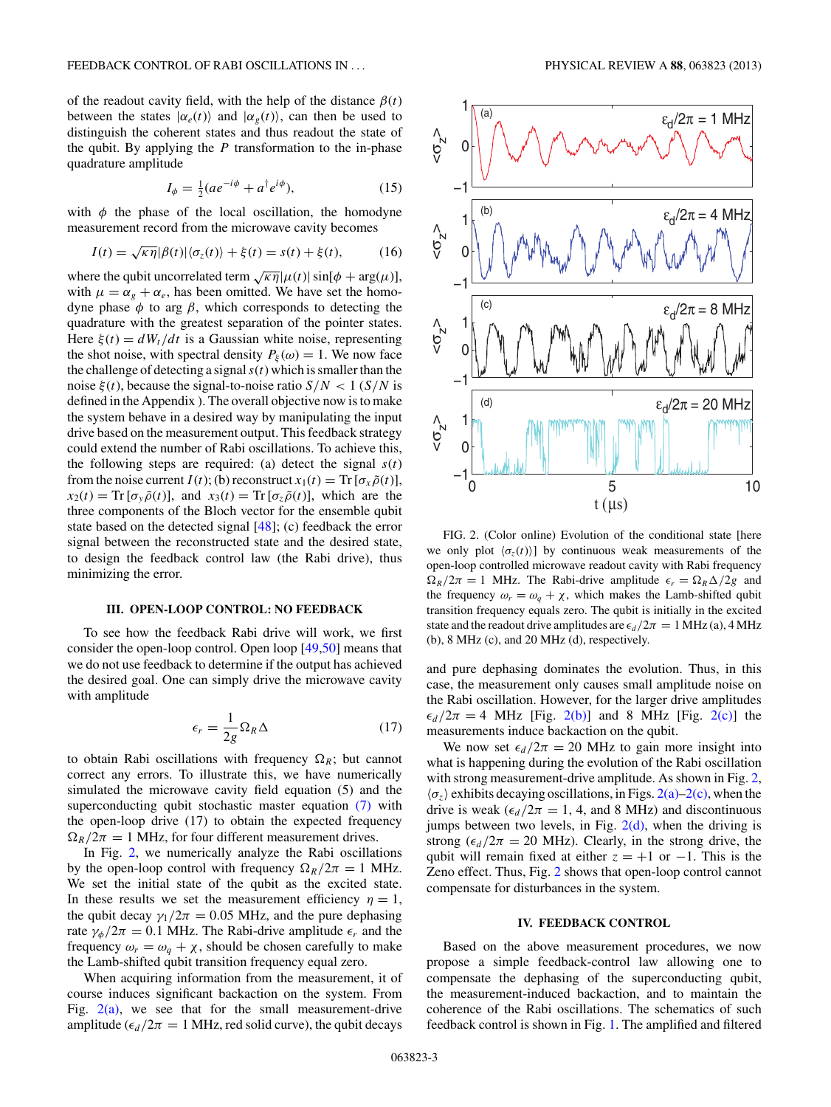<span id="page-2-0"></span>of the readout cavity field, with the help of the distance  $\beta(t)$ between the states  $|\alpha_e(t)\rangle$  and  $|\alpha_g(t)\rangle$ , can then be used to distinguish the coherent states and thus readout the state of the qubit. By applying the *P* transformation to the in-phase quadrature amplitude

$$
I_{\phi} = \frac{1}{2}(ae^{-i\phi} + a^{\dagger}e^{i\phi}), \tag{15}
$$

with  $\phi$  the phase of the local oscillation, the homodyne measurement record from the microwave cavity becomes

$$
I(t) = \sqrt{\kappa \eta} |\beta(t)| \langle \sigma_z(t) \rangle + \xi(t) = s(t) + \xi(t), \tag{16}
$$

where the qubit uncorrelated term  $\sqrt{\kappa \eta}|\mu(t)|\sin[\phi + \arg(\mu)],$ with  $\mu = \alpha_g + \alpha_e$ , has been omitted. We have set the homodyne phase *φ* to arg *β*, which corresponds to detecting the quadrature with the greatest separation of the pointer states. Here  $\xi(t) = dW_t/dt$  is a Gaussian white noise, representing the shot noise, with spectral density  $P_{\xi}(\omega) = 1$ . We now face the challenge of detecting a signal*s*(*t*) which is smaller than the noise  $\xi(t)$ , because the signal-to-noise ratio  $S/N < 1$  (*S/N* is defined in the Appendix ). The overall objective now is to make the system behave in a desired way by manipulating the input drive based on the measurement output. This feedback strategy could extend the number of Rabi oscillations. To achieve this, the following steps are required: (a) detect the signal  $s(t)$ from the noise current *I*(*t*); (b) reconstruct  $x_1(t) = \text{Tr} [\sigma_x \tilde{\rho}(t)],$  $x_2(t) = \text{Tr} [\sigma_y \tilde{\rho}(t)]$ , and  $x_3(t) = \text{Tr} [\sigma_z \tilde{\rho}(t)]$ , which are the three components of the Bloch vector for the ensemble qubit state based on the detected signal [\[48\]](#page-5-0); (c) feedback the error signal between the reconstructed state and the desired state, to design the feedback control law (the Rabi drive), thus minimizing the error.

#### **III. OPEN-LOOP CONTROL: NO FEEDBACK**

To see how the feedback Rabi drive will work, we first consider the open-loop control. Open loop [\[49,50\]](#page-5-0) means that we do not use feedback to determine if the output has achieved the desired goal. One can simply drive the microwave cavity with amplitude

$$
\epsilon_r = \frac{1}{2g} \Omega_R \Delta \tag{17}
$$

to obtain Rabi oscillations with frequency  $\Omega_R$ ; but cannot correct any errors. To illustrate this, we have numerically simulated the microwave cavity field equation (5) and the superconducting qubit stochastic master equation [\(7\)](#page-1-0) with the open-loop drive (17) to obtain the expected frequency  $\Omega_R/2\pi = 1$  MHz, for four different measurement drives.

In Fig. 2, we numerically analyze the Rabi oscillations by the open-loop control with frequency  $\Omega_R/2\pi = 1$  MHz. We set the initial state of the qubit as the excited state. In these results we set the measurement efficiency  $\eta = 1$ , the qubit decay  $\gamma_1/2\pi = 0.05$  MHz, and the pure dephasing rate  $\gamma_{\phi}/2\pi = 0.1$  MHz. The Rabi-drive amplitude  $\epsilon_r$  and the frequency  $\omega_r = \omega_a + \chi$ , should be chosen carefully to make the Lamb-shifted qubit transition frequency equal zero.

When acquiring information from the measurement, it of course induces significant backaction on the system. From Fig.  $2(a)$ , we see that for the small measurement-drive amplitude ( $\epsilon_d/2\pi = 1$  MHz, red solid curve), the qubit decays



FIG. 2. (Color online) Evolution of the conditional state [here we only plot  $\langle \sigma_z(t) \rangle$  by continuous weak measurements of the open-loop controlled microwave readout cavity with Rabi frequency  $\Omega_R/2\pi = 1$  MHz. The Rabi-drive amplitude  $\epsilon_r = \Omega_R \Delta/2g$  and the frequency  $\omega_r = \omega_q + \chi$ , which makes the Lamb-shifted qubit transition frequency equals zero. The qubit is initially in the excited state and the readout drive amplitudes are  $\epsilon_d/2\pi = 1$  MHz (a), 4 MHz (b), 8 MHz (c), and 20 MHz (d), respectively.

and pure dephasing dominates the evolution. Thus, in this case, the measurement only causes small amplitude noise on the Rabi oscillation. However, for the larger drive amplitudes  $\epsilon_d/2\pi = 4$  MHz [Fig. 2(b)] and 8 MHz [Fig. 2(c)] the measurements induce backaction on the qubit.

We now set  $\epsilon_d/2\pi = 20$  MHz to gain more insight into what is happening during the evolution of the Rabi oscillation with strong measurement-drive amplitude. As shown in Fig. 2,  $\langle \sigma_z \rangle$  exhibits decaying oscillations, in Figs. 2(a)–2(c), when the drive is weak ( $\epsilon_d/2\pi = 1$ , 4, and 8 MHz) and discontinuous jumps between two levels, in Fig.  $2(d)$ , when the driving is strong ( $\epsilon_d/2\pi = 20$  MHz). Clearly, in the strong drive, the qubit will remain fixed at either  $z = +1$  or  $-1$ . This is the Zeno effect. Thus, Fig. 2 shows that open-loop control cannot compensate for disturbances in the system.

#### **IV. FEEDBACK CONTROL**

Based on the above measurement procedures, we now propose a simple feedback-control law allowing one to compensate the dephasing of the superconducting qubit, the measurement-induced backaction, and to maintain the coherence of the Rabi oscillations. The schematics of such feedback control is shown in Fig. [1.](#page-1-0) The amplified and filtered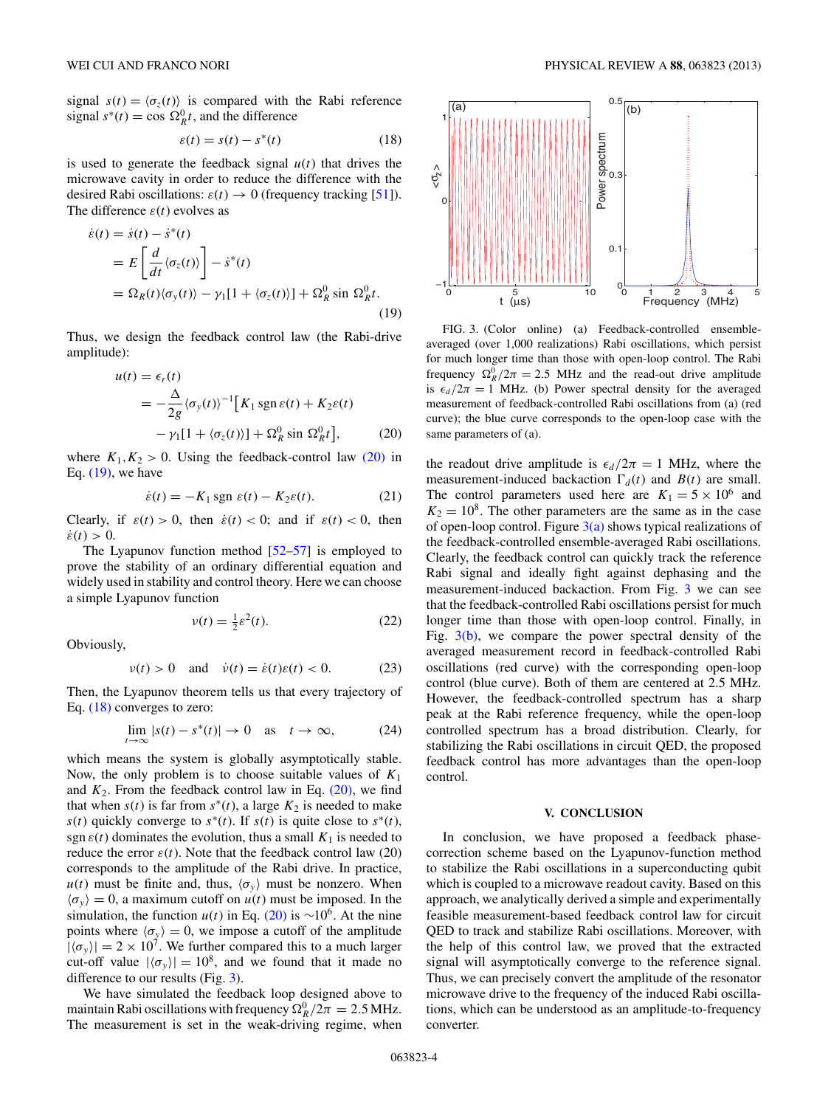<span id="page-3-0"></span>signal  $s(t) = \langle \sigma_z(t) \rangle$  is compared with the Rabi reference signal  $s^*(t) = \cos \Omega_R^0 t$ , and the difference

$$
\varepsilon(t) = s(t) - s^*(t) \tag{18}
$$

is used to generate the feedback signal  $u(t)$  that drives the microwave cavity in order to reduce the difference with the desired Rabi oscillations:  $\varepsilon(t) \rightarrow 0$  (frequency tracking [\[51\]](#page-5-0)). The difference  $\varepsilon(t)$  evolves as

$$
\begin{aligned} \dot{\varepsilon}(t) &= \dot{s}(t) - \dot{s}^*(t) \\ &= E\left[\frac{d}{dt}\langle\sigma_z(t)\rangle\right] - \dot{s}^*(t) \\ &= \Omega_R(t)\langle\sigma_y(t)\rangle - \gamma_1[1 + \langle\sigma_z(t)\rangle] + \Omega_R^0 \sin\,\Omega_R^0 t. \end{aligned} \tag{19}
$$

Thus, we design the feedback control law (the Rabi-drive amplitude):

$$
u(t) = \epsilon_r(t)
$$
  
=  $-\frac{\Delta}{2g} \langle \sigma_y(t) \rangle^{-1} \Big[ K_1 \operatorname{sgn} \varepsilon(t) + K_2 \varepsilon(t)$   
 $- \gamma_1 [1 + \langle \sigma_z(t) \rangle] + \Omega_R^0 \sin \Omega_R^0 t \Big],$  (20)

where  $K_1, K_2 > 0$ . Using the feedback-control law (20) in Eq. (19), we have

$$
\dot{\varepsilon}(t) = -K_1 \operatorname{sgn} \varepsilon(t) - K_2 \varepsilon(t). \tag{21}
$$

Clearly, if  $\varepsilon(t) > 0$ , then  $\dot{\varepsilon}(t) < 0$ ; and if  $\varepsilon(t) < 0$ , then  $\dot{\varepsilon}(t) > 0.$ 

The Lyapunov function method  $[52-57]$  is employed to prove the stability of an ordinary differential equation and widely used in stability and control theory. Here we can choose a simple Lyapunov function

$$
v(t) = \frac{1}{2}\varepsilon^2(t). \tag{22}
$$

Obviously,

$$
v(t) > 0 \quad \text{and} \quad \dot{v}(t) = \dot{\varepsilon}(t)\varepsilon(t) < 0. \tag{23}
$$

Then, the Lyapunov theorem tells us that every trajectory of Eq. (18) converges to zero:

$$
\lim_{t \to \infty} |s(t) - s^*(t)| \to 0 \quad \text{as} \quad t \to \infty,
$$
 (24)

which means the system is globally asymptotically stable. Now, the only problem is to choose suitable values of *K*<sup>1</sup> and  $K_2$ . From the feedback control law in Eq.  $(20)$ , we find that when  $s(t)$  is far from  $s^*(t)$ , a large  $K_2$  is needed to make *s*(*t*) quickly converge to  $s^*(t)$ . If  $s(t)$  is quite close to  $s^*(t)$ , sgn  $\varepsilon(t)$  dominates the evolution, thus a small  $K_1$  is needed to reduce the error  $\varepsilon(t)$ . Note that the feedback control law (20) corresponds to the amplitude of the Rabi drive. In practice,  $u(t)$  must be finite and, thus,  $\langle \sigma_v \rangle$  must be nonzero. When  $\langle \sigma_v \rangle = 0$ , a maximum cutoff on  $u(t)$  must be imposed. In the simulation, the function  $u(t)$  in Eq. (20) is ~10<sup>6</sup>. At the nine points where  $\langle \sigma_y \rangle = 0$ , we impose a cutoff of the amplitude  $|\langle \sigma_v \rangle| = 2 \times 10^7$ . We further compared this to a much larger cut-off value  $|\langle \sigma_{v} \rangle| = 10^8$ , and we found that it made no difference to our results (Fig. 3).

We have simulated the feedback loop designed above to maintain Rabi oscillations with frequency  $\Omega_R^0/2\pi = 2.5 \text{ MHz}.$ The measurement is set in the weak-driving regime, when



FIG. 3. (Color online) (a) Feedback-controlled ensembleaveraged (over 1,000 realizations) Rabi oscillations, which persist for much longer time than those with open-loop control. The Rabi frequency  $\Omega_R^0/2\pi = 2.5$  MHz and the read-out drive amplitude is  $\epsilon_d/2\pi = 1$  MHz. (b) Power spectral density for the averaged measurement of feedback-controlled Rabi oscillations from (a) (red curve); the blue curve corresponds to the open-loop case with the same parameters of (a).

the readout drive amplitude is  $\epsilon_d/2\pi = 1$  MHz, where the measurement-induced backaction  $\Gamma_d(t)$  and  $B(t)$  are small. The control parameters used here are  $K_1 = 5 \times 10^6$  and  $K_2 = 10^8$ . The other parameters are the same as in the case of open-loop control. Figure  $3(a)$  shows typical realizations of the feedback-controlled ensemble-averaged Rabi oscillations. Clearly, the feedback control can quickly track the reference Rabi signal and ideally fight against dephasing and the measurement-induced backaction. From Fig. 3 we can see that the feedback-controlled Rabi oscillations persist for much longer time than those with open-loop control. Finally, in Fig.  $3(b)$ , we compare the power spectral density of the averaged measurement record in feedback-controlled Rabi oscillations (red curve) with the corresponding open-loop control (blue curve). Both of them are centered at 2.5 MHz. However, the feedback-controlled spectrum has a sharp peak at the Rabi reference frequency, while the open-loop controlled spectrum has a broad distribution. Clearly, for stabilizing the Rabi oscillations in circuit QED, the proposed feedback control has more advantages than the open-loop control.

#### **V. CONCLUSION**

In conclusion, we have proposed a feedback phasecorrection scheme based on the Lyapunov-function method to stabilize the Rabi oscillations in a superconducting qubit which is coupled to a microwave readout cavity. Based on this approach, we analytically derived a simple and experimentally feasible measurement-based feedback control law for circuit QED to track and stabilize Rabi oscillations. Moreover, with the help of this control law, we proved that the extracted signal will asymptotically converge to the reference signal. Thus, we can precisely convert the amplitude of the resonator microwave drive to the frequency of the induced Rabi oscillations, which can be understood as an amplitude-to-frequency converter.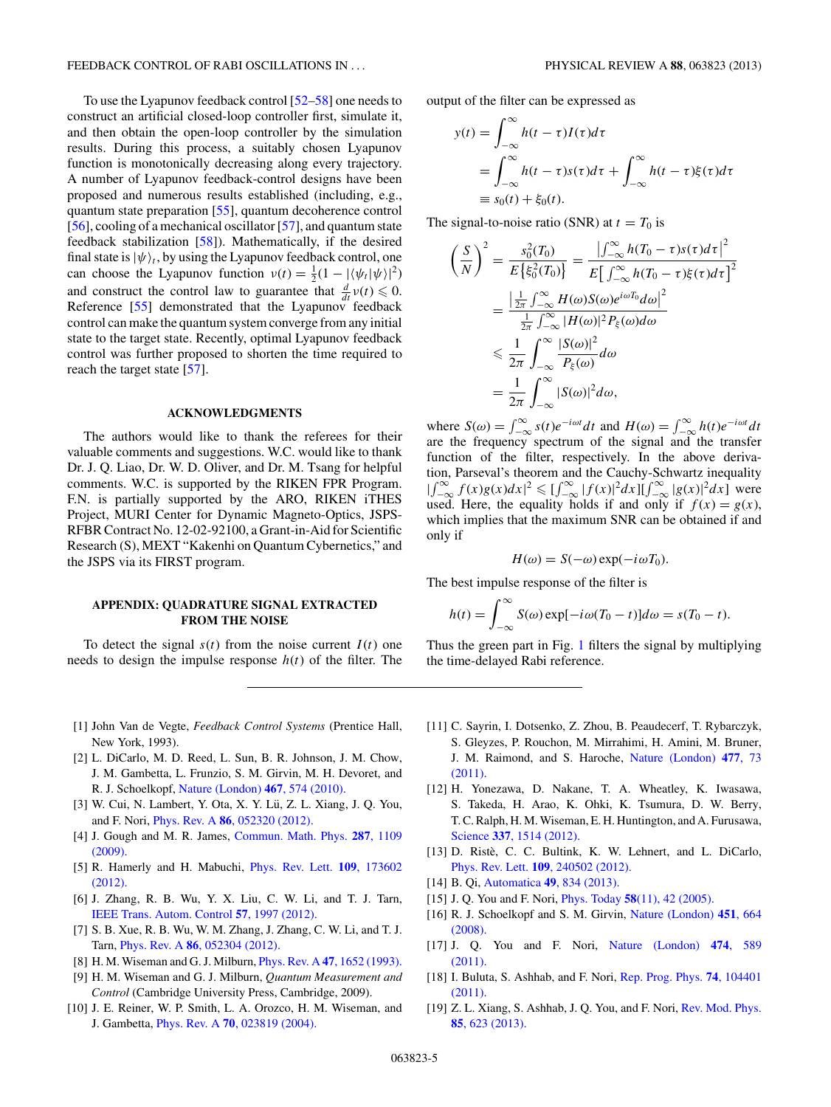<span id="page-4-0"></span>To use the Lyapunov feedback control [\[52–58\]](#page-5-0) one needs to construct an artificial closed-loop controller first, simulate it, and then obtain the open-loop controller by the simulation results. During this process, a suitably chosen Lyapunov function is monotonically decreasing along every trajectory. A number of Lyapunov feedback-control designs have been proposed and numerous results established (including, e.g., quantum state preparation [\[55\]](#page-5-0), quantum decoherence control [\[56\]](#page-5-0), cooling of a mechanical oscillator [\[57\]](#page-5-0), and quantum state feedback stabilization [\[58\]](#page-5-0)). Mathematically, if the desired final state is  $|\psi\rangle_t$ , by using the Lyapunov feedback control, one can choose the Lyapunov function  $v(t) = \frac{1}{2}(1 - |\langle \psi_t | \psi \rangle|^2)$ and construct the control law to guarantee that  $\frac{d}{dt}v(t) \leq 0$ . Reference [\[55\]](#page-5-0) demonstrated that the Lyapunov feedback control can make the quantum system converge from any initial state to the target state. Recently, optimal Lyapunov feedback control was further proposed to shorten the time required to reach the target state [\[57\]](#page-5-0).

#### **ACKNOWLEDGMENTS**

The authors would like to thank the referees for their valuable comments and suggestions. W.C. would like to thank Dr. J. Q. Liao, Dr. W. D. Oliver, and Dr. M. Tsang for helpful comments. W.C. is supported by the RIKEN FPR Program. F.N. is partially supported by the ARO, RIKEN iTHES Project, MURI Center for Dynamic Magneto-Optics, JSPS-RFBR Contract No. 12-02-92100, a Grant-in-Aid for Scientific Research (S), MEXT "Kakenhi on Quantum Cybernetics," and the JSPS via its FIRST program.

## **APPENDIX: QUADRATURE SIGNAL EXTRACTED FROM THE NOISE**

To detect the signal  $s(t)$  from the noise current  $I(t)$  one needs to design the impulse response  $h(t)$  of the filter. The output of the filter can be expressed as

$$
y(t) = \int_{-\infty}^{\infty} h(t - \tau)I(\tau)d\tau
$$
  
= 
$$
\int_{-\infty}^{\infty} h(t - \tau)s(\tau)d\tau + \int_{-\infty}^{\infty} h(t - \tau)\xi(\tau)d\tau
$$
  
\equiv 
$$
s_0(t) + \xi_0(t).
$$

The signal-to-noise ratio (SNR) at  $t = T_0$  is

$$
\left(\frac{S}{N}\right)^2 = \frac{s_0^2(T_0)}{E\left\{\xi_0^2(T_0)\right\}} = \frac{\left|\int_{-\infty}^{\infty} h(T_0 - \tau)s(\tau)d\tau\right|^2}{E\left[\int_{-\infty}^{\infty} h(T_0 - \tau)\xi(\tau)d\tau\right]^2}
$$

$$
= \frac{\left|\frac{1}{2\pi}\int_{-\infty}^{\infty} H(\omega)S(\omega)e^{i\omega T_0}d\omega\right|^2}{\frac{1}{2\pi}\int_{-\infty}^{\infty} |H(\omega)|^2 P_{\xi}(\omega)d\omega}
$$

$$
\leq \frac{1}{2\pi}\int_{-\infty}^{\infty} \frac{|S(\omega)|^2}{P_{\xi}(\omega)}d\omega
$$

$$
= \frac{1}{2\pi}\int_{-\infty}^{\infty} |S(\omega)|^2d\omega,
$$

where  $S(\omega) = \int_{-\infty}^{\infty} s(t)e^{-i\omega t}dt$  and  $H(\omega) = \int_{-\infty}^{\infty} h(t)e^{-i\omega t}dt$ are the frequency spectrum of the signal and the transfer function of the filter, respectively. In the above derivation, Parseval's theorem and the Cauchy-Schwartz inequality  $\int_{-\infty}^{\infty} f(x)g(x)dx|^2 \leq \int_{-\infty}^{\infty} |f(x)|^2 dx \leq \int_{-\infty}^{\infty} |g(x)|^2 dx$  were used. Here, the equality holds if and only if  $f(x) = g(x)$ , which implies that the maximum SNR can be obtained if and only if

$$
H(\omega) = S(-\omega) \exp(-i\omega T_0).
$$

The best impulse response of the filter is

$$
h(t) = \int_{-\infty}^{\infty} S(\omega) \exp[-i\omega(T_0 - t)]d\omega = s(T_0 - t).
$$

Thus the green part in Fig. [1](#page-1-0) filters the signal by multiplying the time-delayed Rabi reference.

- [1] John Van de Vegte, *Feedback Control Systems* (Prentice Hall, New York, 1993).
- [2] L. DiCarlo, M. D. Reed, L. Sun, B. R. Johnson, J. M. Chow, J. M. Gambetta, L. Frunzio, S. M. Girvin, M. H. Devoret, and R. J. Schoelkopf, [Nature \(London\)](http://dx.doi.org/10.1038/nature09416) **467**, 574 (2010).
- [3] W. Cui, N. Lambert, Y. Ota, X. Y. Lü, Z. L. Xiang, J. Q. You, and F. Nori, Phys. Rev. A **86**[, 052320 \(2012\).](http://dx.doi.org/10.1103/PhysRevA.86.052320)
- [4] J. Gough and M. R. James, [Commun. Math. Phys.](http://dx.doi.org/10.1007/s00220-008-0698-8) **287**, 1109 [\(2009\).](http://dx.doi.org/10.1007/s00220-008-0698-8)
- [5] R. Hamerly and H. Mabuchi, [Phys. Rev. Lett.](http://dx.doi.org/10.1103/PhysRevLett.109.173602) **109**, 173602 [\(2012\).](http://dx.doi.org/10.1103/PhysRevLett.109.173602)
- [6] J. Zhang, R. B. Wu, Y. X. Liu, C. W. Li, and T. J. Tarn, [IEEE Trans. Autom. Control](http://dx.doi.org/10.1109/TAC.2012.2195871) **57**, 1997 (2012).
- [7] S. B. Xue, R. B. Wu, W. M. Zhang, J. Zhang, C. W. Li, and T. J. Tarn, Phys. Rev. A **86**[, 052304 \(2012\).](http://dx.doi.org/10.1103/PhysRevA.86.052304)
- [8] H. M. Wiseman and G. J. Milburn, Phys. Rev. A **47**[, 1652 \(1993\).](http://dx.doi.org/10.1103/PhysRevA.47.1652)
- [9] H. M. Wiseman and G. J. Milburn, *Quantum Measurement and Control* (Cambridge University Press, Cambridge, 2009).
- [10] J. E. Reiner, W. P. Smith, L. A. Orozco, H. M. Wiseman, and J. Gambetta, Phys. Rev. A **70**[, 023819 \(2004\).](http://dx.doi.org/10.1103/PhysRevA.70.023819)
- [11] C. Sayrin, I. Dotsenko, Z. Zhou, B. Peaudecerf, T. Rybarczyk, S. Gleyzes, P. Rouchon, M. Mirrahimi, H. Amini, M. Bruner, J. M. Raimond, and S. Haroche, [Nature \(London\)](http://dx.doi.org/10.1038/nature10376) **477**, 73 [\(2011\).](http://dx.doi.org/10.1038/nature10376)
- [12] H. Yonezawa, D. Nakane, T. A. Wheatley, K. Iwasawa, S. Takeda, H. Arao, K. Ohki, K. Tsumura, D. W. Berry, T. C. Ralph, H. M. Wiseman, E. H. Huntington, and A. Furusawa, Science **337**[, 1514 \(2012\).](http://dx.doi.org/10.1126/science.1225258)
- [13] D. Ristè, C. C. Bultink, K. W. Lehnert, and L. DiCarlo, Phys. Rev. Lett. **109**[, 240502 \(2012\).](http://dx.doi.org/10.1103/PhysRevLett.109.240502)
- [14] B. Qi, Automatica **49**[, 834 \(2013\).](http://dx.doi.org/10.1016/j.automatica.2013.01.011)
- [15] J. Q. You and F. Nori, Phys. Today **58**[\(11\), 42 \(2005\).](http://dx.doi.org/10.1063/1.2155757)
- [16] R. J. Schoelkopf and S. M. Girvin, [Nature \(London\)](http://dx.doi.org/10.1038/451664a) **451**, 664 [\(2008\).](http://dx.doi.org/10.1038/451664a)
- [17] J. Q. You and F. Nori, [Nature \(London\)](http://dx.doi.org/10.1038/nature10122) **474**, 589 [\(2011\).](http://dx.doi.org/10.1038/nature10122)
- [18] I. Buluta, S. Ashhab, and F. Nori, [Rep. Prog. Phys.](http://dx.doi.org/10.1088/0034-4885/74/10/104401) **74**, 104401 [\(2011\).](http://dx.doi.org/10.1088/0034-4885/74/10/104401)
- [19] Z. L. Xiang, S. Ashhab, J. Q. You, and F. Nori, [Rev. Mod. Phys.](http://dx.doi.org/10.1103/RevModPhys.85.623) **85**[, 623 \(2013\).](http://dx.doi.org/10.1103/RevModPhys.85.623)